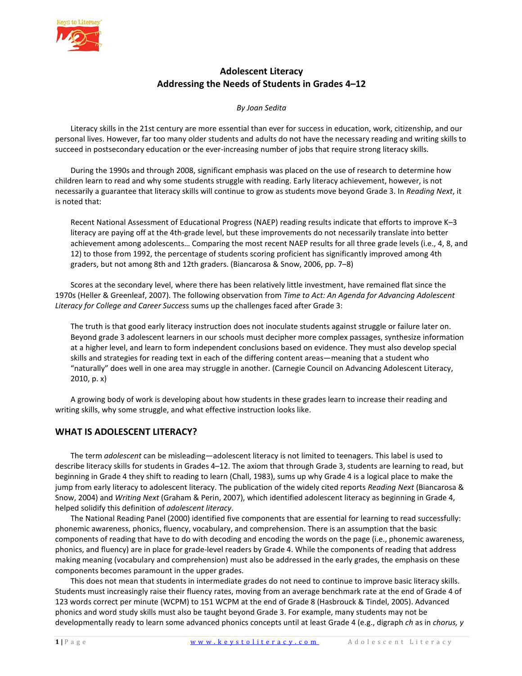

# **Adolescent Literacy Addressing the Needs of Students in Grades 4–12**

#### *By Joan Sedita*

Literacy skills in the 21st century are more essential than ever for success in education, work, citizenship, and our personal lives. However, far too many older students and adults do not have the necessary reading and writing skills to succeed in postsecondary education or the ever-increasing number of jobs that require strong literacy skills.

During the 1990s and through 2008, significant emphasis was placed on the use of research to determine how children learn to read and why some students struggle with reading. Early literacy achievement, however, is not necessarily a guarantee that literacy skills will continue to grow as students move beyond Grade 3. In *Reading Next*, it is noted that:

Recent National Assessment of Educational Progress (NAEP) reading results indicate that efforts to improve K–3 literacy are paying off at the 4th-grade level, but these improvements do not necessarily translate into better achievement among adolescents… Comparing the most recent NAEP results for all three grade levels (i.e., 4, 8, and 12) to those from 1992, the percentage of students scoring proficient has significantly improved among 4th graders, but not among 8th and 12th graders. (Biancarosa & Snow, 2006, pp. 7–8)

Scores at the secondary level, where there has been relatively little investment, have remained flat since the 1970s (Heller & Greenleaf, 2007). The following observation from *Time to Act: An Agenda for Advancing Adolescent Literacy for College and Career Succes*s sums up the challenges faced after Grade 3:

The truth is that good early literacy instruction does not inoculate students against struggle or failure later on. Beyond grade 3 adolescent learners in our schools must decipher more complex passages, synthesize information at a higher level, and learn to form independent conclusions based on evidence. They must also develop special skills and strategies for reading text in each of the differing content areas—meaning that a student who "naturally" does well in one area may struggle in another. (Carnegie Council on Advancing Adolescent Literacy, 2010, p. x)

A growing body of work is developing about how students in these grades learn to increase their reading and writing skills, why some struggle, and what effective instruction looks like.

# **WHAT IS ADOLESCENT LITERACY?**

The term *adolescent* can be misleading—adolescent literacy is not limited to teenagers. This label is used to describe literacy skills for students in Grades 4–12. The axiom that through Grade 3, students are learning to read, but beginning in Grade 4 they shift to reading to learn (Chall, 1983), sums up why Grade 4 is a logical place to make the jump from early literacy to adolescent literacy. The publication of the widely cited reports *Reading Next* (Biancarosa & Snow, 2004) and *Writing Next* (Graham & Perin, 2007), which identified adolescent literacy as beginning in Grade 4, helped solidify this definition of *adolescent literacy*.

The National Reading Panel (2000) identified five components that are essential for learning to read successfully: phonemic awareness, phonics, fluency, vocabulary, and comprehension. There is an assumption that the basic components of reading that have to do with decoding and encoding the words on the page (i.e., phonemic awareness, phonics, and fluency) are in place for grade-level readers by Grade 4. While the components of reading that address making meaning (vocabulary and comprehension) must also be addressed in the early grades, the emphasis on these components becomes paramount in the upper grades.

This does not mean that students in intermediate grades do not need to continue to improve basic literacy skills. Students must increasingly raise their fluency rates, moving from an average benchmark rate at the end of Grade 4 of 123 words correct per minute (WCPM) to 151 WCPM at the end of Grade 8 (Hasbrouck & Tindel, 2005). Advanced phonics and word study skills must also be taught beyond Grade 3. For example, many students may not be developmentally ready to learn some advanced phonics concepts until at least Grade 4 (e.g., digraph *ch* as in *chorus, y*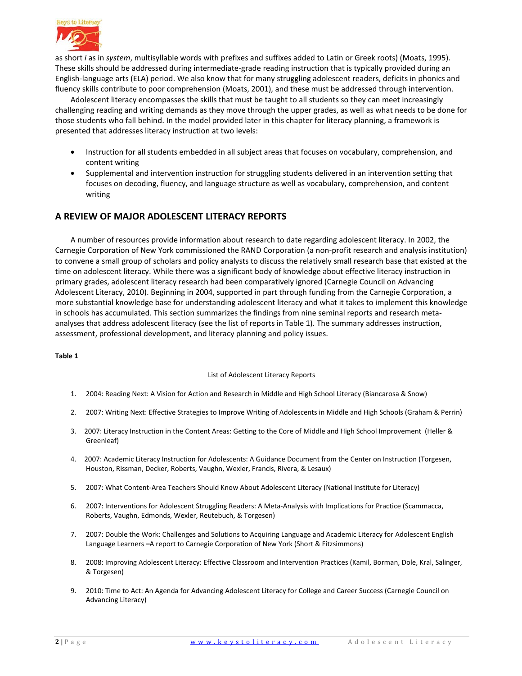

as short *i* as in *system*, multisyllable words with prefixes and suffixes added to Latin or Greek roots) (Moats, 1995). These skills should be addressed during intermediate-grade reading instruction that is typically provided during an English-language arts (ELA) period. We also know that for many struggling adolescent readers, deficits in phonics and fluency skills contribute to poor comprehension (Moats, 2001), and these must be addressed through intervention.

Adolescent literacy encompasses the skills that must be taught to all students so they can meet increasingly challenging reading and writing demands as they move through the upper grades, as well as what needs to be done for those students who fall behind. In the model provided later in this chapter for literacy planning, a framework is presented that addresses literacy instruction at two levels:

- Instruction for all students embedded in all subject areas that focuses on vocabulary, comprehension, and content writing
- Supplemental and intervention instruction for struggling students delivered in an intervention setting that focuses on decoding, fluency, and language structure as well as vocabulary, comprehension, and content writing

# **A REVIEW OF MAJOR ADOLESCENT LITERACY REPORTS**

A number of resources provide information about research to date regarding adolescent literacy. In 2002, the Carnegie Corporation of New York commissioned the RAND Corporation (a non-profit research and analysis institution) to convene a small group of scholars and policy analysts to discuss the relatively small research base that existed at the time on adolescent literacy. While there was a significant body of knowledge about effective literacy instruction in primary grades, adolescent literacy research had been comparatively ignored (Carnegie Council on Advancing Adolescent Literacy, 2010). Beginning in 2004, supported in part through funding from the Carnegie Corporation, a more substantial knowledge base for understanding adolescent literacy and what it takes to implement this knowledge in schools has accumulated. This section summarizes the findings from nine seminal reports and research metaanalyses that address adolescent literacy (see the list of reports in Table 1). The summary addresses instruction, assessment, professional development, and literacy planning and policy issues.

#### **Table 1**

#### List of Adolescent Literacy Reports

- 1. 2004: Reading Next: A Vision for Action and Research in Middle and High School Literacy (Biancarosa & Snow)
- 2. 2007: Writing Next: Effective Strategies to Improve Writing of Adolescents in Middle and High Schools (Graham & Perrin)
- 3. 2007: Literacy Instruction in the Content Areas: Getting to the Core of Middle and High School Improvement (Heller & Greenleaf)
- 4. 2007: Academic Literacy Instruction for Adolescents: A Guidance Document from the Center on Instruction (Torgesen, Houston, Rissman, Decker, Roberts, Vaughn, Wexler, Francis, Rivera, & Lesaux)
- 5. 2007: What Content-Area Teachers Should Know About Adolescent Literacy (National Institute for Literacy)
- 6. 2007: Interventions for Adolescent Struggling Readers: A Meta-Analysis with Implications for Practice (Scammacca, Roberts, Vaughn, Edmonds, Wexler, Reutebuch, & Torgesen)
- 7. 2007: Double the Work: Challenges and Solutions to Acquiring Language and Academic Literacy for Adolescent English Language Learners **–**A report to Carnegie Corporation of New York (Short & Fitzsimmons)
- 8. 2008: Improving Adolescent Literacy: Effective Classroom and Intervention Practices (Kamil, Borman, Dole, Kral, Salinger, & Torgesen)
- 9. 2010: Time to Act: An Agenda for Advancing Adolescent Literacy for College and Career Success (Carnegie Council on Advancing Literacy)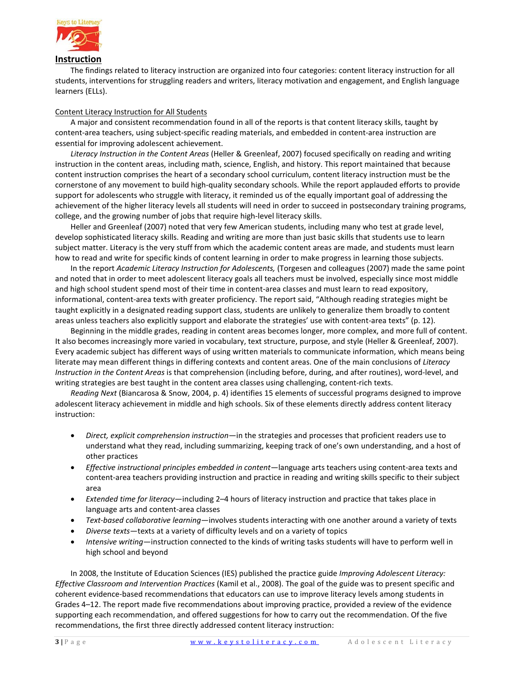

The findings related to literacy instruction are organized into four categories: content literacy instruction for all students, interventions for struggling readers and writers, literacy motivation and engagement, and English language learners (ELLs).

#### Content Literacy Instruction for All Students

A major and consistent recommendation found in all of the reports is that content literacy skills, taught by content-area teachers, using subject-specific reading materials, and embedded in content-area instruction are essential for improving adolescent achievement.

*Literacy Instruction in the Content Areas* (Heller & Greenleaf, 2007) focused specifically on reading and writing instruction in the content areas, including math, science, English, and history. This report maintained that because content instruction comprises the heart of a secondary school curriculum, content literacy instruction must be the cornerstone of any movement to build high-quality secondary schools. While the report applauded efforts to provide support for adolescents who struggle with literacy, it reminded us of the equally important goal of addressing the achievement of the higher literacy levels all students will need in order to succeed in postsecondary training programs, college, and the growing number of jobs that require high-level literacy skills.

Heller and Greenleaf (2007) noted that very few American students, including many who test at grade level, develop sophisticated literacy skills. Reading and writing are more than just basic skills that students use to learn subject matter. Literacy is the very stuff from which the academic content areas are made, and students must learn how to read and write for specific kinds of content learning in order to make progress in learning those subjects.

In the report *Academic Literacy Instruction for Adolescents,* (Torgesen and colleagues (2007) made the same point and noted that in order to meet adolescent literacy goals all teachers must be involved, especially since most middle and high school student spend most of their time in content-area classes and must learn to read expository, informational, content-area texts with greater proficiency. The report said, "Although reading strategies might be taught explicitly in a designated reading support class, students are unlikely to generalize them broadly to content areas unless teachers also explicitly support and elaborate the strategies' use with content-area texts" (p. 12).

Beginning in the middle grades, reading in content areas becomes longer, more complex, and more full of content. It also becomes increasingly more varied in vocabulary, text structure, purpose, and style (Heller & Greenleaf, 2007). Every academic subject has different ways of using written materials to communicate information, which means being literate may mean different things in differing contexts and content areas. One of the main conclusions of *Literacy Instruction in the Content Areas* is that comprehension (including before, during, and after routines), word-level, and writing strategies are best taught in the content area classes using challenging, content-rich texts.

*Reading Next* (Biancarosa & Snow, 2004, p. 4) identifies 15 elements of successful programs designed to improve adolescent literacy achievement in middle and high schools. Six of these elements directly address content literacy instruction:

- *Direct, explicit comprehension instruction*—in the strategies and processes that proficient readers use to understand what they read, including summarizing, keeping track of one's own understanding, and a host of other practices
- *Effective instructional principles embedded in content*—language arts teachers using content-area texts and content-area teachers providing instruction and practice in reading and writing skills specific to their subject area
- *Extended time for literacy*—including 2–4 hours of literacy instruction and practice that takes place in language arts and content-area classes
- *Text-based collaborative learning*—involves students interacting with one another around a variety of texts
- *Diverse texts*—texts at a variety of difficulty levels and on a variety of topics
- *Intensive writing*—instruction connected to the kinds of writing tasks students will have to perform well in high school and beyond

In 2008, the Institute of Education Sciences (IES) published the practice guide *Improving Adolescent Literacy: Effective Classroom and Intervention Practices* (Kamil et al., 2008). The goal of the guide was to present specific and coherent evidence-based recommendations that educators can use to improve literacy levels among students in Grades 4–12. The report made five recommendations about improving practice, provided a review of the evidence supporting each recommendation, and offered suggestions for how to carry out the recommendation. Of the five recommendations, the first three directly addressed content literacy instruction: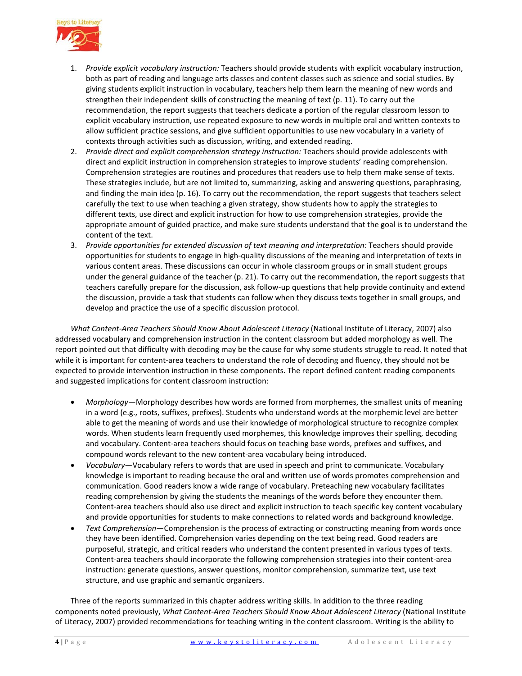

- 1. *Provide explicit vocabulary instruction:* Teachers should provide students with explicit vocabulary instruction, both as part of reading and language arts classes and content classes such as science and social studies. By giving students explicit instruction in vocabulary, teachers help them learn the meaning of new words and strengthen their independent skills of constructing the meaning of text (p. 11). To carry out the recommendation, the report suggests that teachers dedicate a portion of the regular classroom lesson to explicit vocabulary instruction, use repeated exposure to new words in multiple oral and written contexts to allow sufficient practice sessions, and give sufficient opportunities to use new vocabulary in a variety of contexts through activities such as discussion, writing, and extended reading.
- 2. *Provide direct and explicit comprehension strategy instruction:* Teachers should provide adolescents with direct and explicit instruction in comprehension strategies to improve students' reading comprehension. Comprehension strategies are routines and procedures that readers use to help them make sense of texts. These strategies include, but are not limited to, summarizing, asking and answering questions, paraphrasing, and finding the main idea (p. 16). To carry out the recommendation, the report suggests that teachers select carefully the text to use when teaching a given strategy, show students how to apply the strategies to different texts, use direct and explicit instruction for how to use comprehension strategies, provide the appropriate amount of guided practice, and make sure students understand that the goal is to understand the content of the text.
- 3. *Provide opportunities for extended discussion of text meaning and interpretation:* Teachers should provide opportunities for students to engage in high-quality discussions of the meaning and interpretation of texts in various content areas. These discussions can occur in whole classroom groups or in small student groups under the general guidance of the teacher (p. 21). To carry out the recommendation, the report suggests that teachers carefully prepare for the discussion, ask follow-up questions that help provide continuity and extend the discussion, provide a task that students can follow when they discuss texts together in small groups, and develop and practice the use of a specific discussion protocol.

*What Content-Area Teachers Should Know About Adolescent Literacy* (National Institute of Literacy, 2007) also addressed vocabulary and comprehension instruction in the content classroom but added morphology as well*.* The report pointed out that difficulty with decoding may be the cause for why some students struggle to read. It noted that while it is important for content-area teachers to understand the role of decoding and fluency, they should not be expected to provide intervention instruction in these components. The report defined content reading components and suggested implications for content classroom instruction:

- *Morphology*—Morphology describes how words are formed from morphemes, the smallest units of meaning in a word (e.g., roots, suffixes, prefixes). Students who understand words at the morphemic level are better able to get the meaning of words and use their knowledge of morphological structure to recognize complex words. When students learn frequently used morphemes, this knowledge improves their spelling, decoding and vocabulary. Content-area teachers should focus on teaching base words, prefixes and suffixes, and compound words relevant to the new content-area vocabulary being introduced.
- *Vocabulary*—Vocabulary refers to words that are used in speech and print to communicate. Vocabulary knowledge is important to reading because the oral and written use of words promotes comprehension and communication. Good readers know a wide range of vocabulary. Preteaching new vocabulary facilitates reading comprehension by giving the students the meanings of the words before they encounter them. Content-area teachers should also use direct and explicit instruction to teach specific key content vocabulary and provide opportunities for students to make connections to related words and background knowledge.
- *Text Comprehension*—Comprehension is the process of extracting or constructing meaning from words once they have been identified. Comprehension varies depending on the text being read. Good readers are purposeful, strategic, and critical readers who understand the content presented in various types of texts. Content-area teachers should incorporate the following comprehension strategies into their content-area instruction: generate questions, answer questions, monitor comprehension, summarize text, use text structure, and use graphic and semantic organizers.

Three of the reports summarized in this chapter address writing skills. In addition to the three reading components noted previously, What Content-Area Teachers Should Know About Adolescent Literacy (National Institute of Literacy, 2007) provided recommendations for teaching writing in the content classroom. Writing is the ability to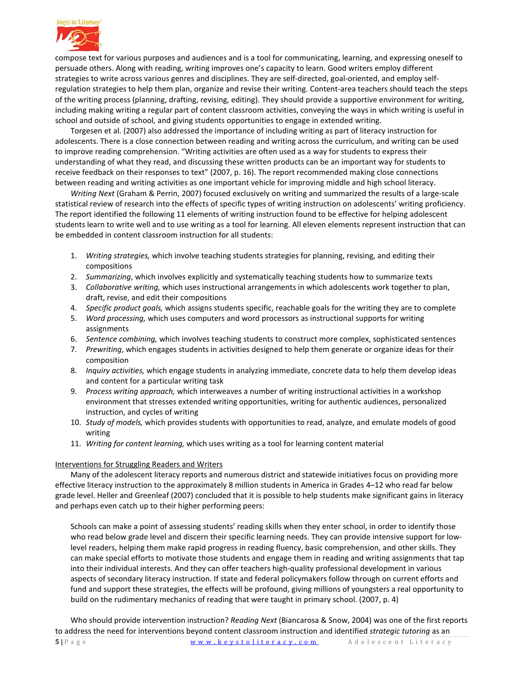

compose text for various purposes and audiences and is a tool for communicating, learning, and expressing oneself to persuade others. Along with reading, writing improves one's capacity to learn. Good writers employ different strategies to write across various genres and disciplines. They are self-directed, goal-oriented, and employ selfregulation strategies to help them plan, organize and revise their writing. Content-area teachers should teach the steps of the writing process (planning, drafting, revising, editing). They should provide a supportive environment for writing, including making writing a regular part of content classroom activities, conveying the ways in which writing is useful in school and outside of school, and giving students opportunities to engage in extended writing.

Torgesen et al. (2007) also addressed the importance of including writing as part of literacy instruction for adolescents. There is a close connection between reading and writing across the curriculum, and writing can be used to improve reading comprehension. "Writing activities are often used as a way for students to express their understanding of what they read, and discussing these written products can be an important way for students to receive feedback on their responses to text" (2007, p. 16). The report recommended making close connections between reading and writing activities as one important vehicle for improving middle and high school literacy.

*Writing Next* (Graham & Perrin, 2007) focused exclusively on writing and summarized the results of a large-scale statistical review of research into the effects of specific types of writing instruction on adolescents' writing proficiency. The report identified the following 11 elements of writing instruction found to be effective for helping adolescent students learn to write well and to use writing as a tool for learning. All eleven elements represent instruction that can be embedded in content classroom instruction for all students:

- 1. *Writing strategies,* which involve teaching students strategies for planning, revising, and editing their compositions
- 2. *Summarizing*, which involves explicitly and systematically teaching students how to summarize texts
- 3. *Collaborative writing,* which uses instructional arrangements in which adolescents work together to plan, draft, revise, and edit their compositions
- 4. *Specific product goals,* which assigns students specific, reachable goals for the writing they are to complete
- 5. *Word processing,* which uses computers and word processors as instructional supports for writing assignments
- 6. *Sentence combining,* which involves teaching students to construct more complex, sophisticated sentences
- 7. *Prewriting*, which engages students in activities designed to help them generate or organize ideas for their composition
- 8. *Inquiry activities,* which engage students in analyzing immediate, concrete data to help them develop ideas and content for a particular writing task
- 9. *Process writing approach,* which interweaves a number of writing instructional activities in a workshop environment that stresses extended writing opportunities, writing for authentic audiences, personalized instruction, and cycles of writing
- 10. *Study of models,* which provides students with opportunities to read, analyze, and emulate models of good writing
- 11. *Writing for content learning,* which uses writing as a tool for learning content material

### Interventions for Struggling Readers and Writers

Many of the adolescent literacy reports and numerous district and statewide initiatives focus on providing more effective literacy instruction to the approximately 8 million students in America in Grades 4–12 who read far below grade level. Heller and Greenleaf (2007) concluded that it is possible to help students make significant gains in literacy and perhaps even catch up to their higher performing peers:

Schools can make a point of assessing students' reading skills when they enter school, in order to identify those who read below grade level and discern their specific learning needs. They can provide intensive support for lowlevel readers, helping them make rapid progress in reading fluency, basic comprehension, and other skills. They can make special efforts to motivate those students and engage them in reading and writing assignments that tap into their individual interests. And they can offer teachers high-quality professional development in various aspects of secondary literacy instruction. If state and federal policymakers follow through on current efforts and fund and support these strategies, the effects will be profound, giving millions of youngsters a real opportunity to build on the rudimentary mechanics of reading that were taught in primary school. (2007, p. 4)

Who should provide intervention instruction? *Reading Next* (Biancarosa & Snow, 2004) was one of the first reports to address the need for interventions beyond content classroom instruction and identified *strategic tutoring* as an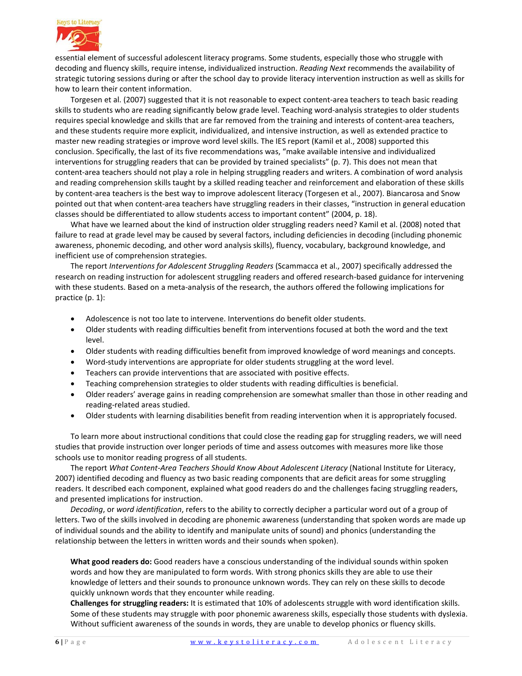

essential element of successful adolescent literacy programs. Some students, especially those who struggle with decoding and fluency skills, require intense, individualized instruction. *Reading Next* recommends the availability of strategic tutoring sessions during or after the school day to provide literacy intervention instruction as well as skills for how to learn their content information.

Torgesen et al. (2007) suggested that it is not reasonable to expect content-area teachers to teach basic reading skills to students who are reading significantly below grade level. Teaching word-analysis strategies to older students requires special knowledge and skills that are far removed from the training and interests of content-area teachers, and these students require more explicit, individualized, and intensive instruction, as well as extended practice to master new reading strategies or improve word level skills. The IES report (Kamil et al., 2008) supported this conclusion. Specifically, the last of its five recommendations was, "make available intensive and individualized interventions for struggling readers that can be provided by trained specialists" (p. 7). This does not mean that content-area teachers should not play a role in helping struggling readers and writers. A combination of word analysis and reading comprehension skills taught by a skilled reading teacher and reinforcement and elaboration of these skills by content-area teachers is the best way to improve adolescent literacy (Torgesen et al., 2007). Biancarosa and Snow pointed out that when content-area teachers have struggling readers in their classes, "instruction in general education classes should be differentiated to allow students access to important content" (2004, p. 18).

What have we learned about the kind of instruction older struggling readers need? Kamil et al. (2008) noted that failure to read at grade level may be caused by several factors, including deficiencies in decoding (including phonemic awareness, phonemic decoding, and other word analysis skills), fluency, vocabulary, background knowledge, and inefficient use of comprehension strategies.

The report *Interventions for Adolescent Struggling Readers* (Scammacca et al., 2007) specifically addressed the research on reading instruction for adolescent struggling readers and offered research-based guidance for intervening with these students. Based on a meta-analysis of the research, the authors offered the following implications for practice (p. 1):

- Adolescence is not too late to intervene. Interventions do benefit older students.
- Older students with reading difficulties benefit from interventions focused at both the word and the text level.
- Older students with reading difficulties benefit from improved knowledge of word meanings and concepts.
- Word-study interventions are appropriate for older students struggling at the word level.
- Teachers can provide interventions that are associated with positive effects.
- Teaching comprehension strategies to older students with reading difficulties is beneficial.
- Older readers' average gains in reading comprehension are somewhat smaller than those in other reading and reading-related areas studied.
- Older students with learning disabilities benefit from reading intervention when it is appropriately focused.

To learn more about instructional conditions that could close the reading gap for struggling readers, we will need studies that provide instruction over longer periods of time and assess outcomes with measures more like those schools use to monitor reading progress of all students.

The report *What Content-Area Teachers Should Know About Adolescent Literacy* (National Institute for Literacy, 2007) identified decoding and fluency as two basic reading components that are deficit areas for some struggling readers. It described each component, explained what good readers do and the challenges facing struggling readers, and presented implications for instruction.

*Decoding*, or *word identification*, refers to the ability to correctly decipher a particular word out of a group of letters. Two of the skills involved in decoding are phonemic awareness (understanding that spoken words are made up of individual sounds and the ability to identify and manipulate units of sound) and phonics (understanding the relationship between the letters in written words and their sounds when spoken).

**What good readers do:** Good readers have a conscious understanding of the individual sounds within spoken words and how they are manipulated to form words. With strong phonics skills they are able to use their knowledge of letters and their sounds to pronounce unknown words. They can rely on these skills to decode quickly unknown words that they encounter while reading.

**Challenges for struggling readers:** It is estimated that 10% of adolescents struggle with word identification skills. Some of these students may struggle with poor phonemic awareness skills, especially those students with dyslexia. Without sufficient awareness of the sounds in words, they are unable to develop phonics or fluency skills.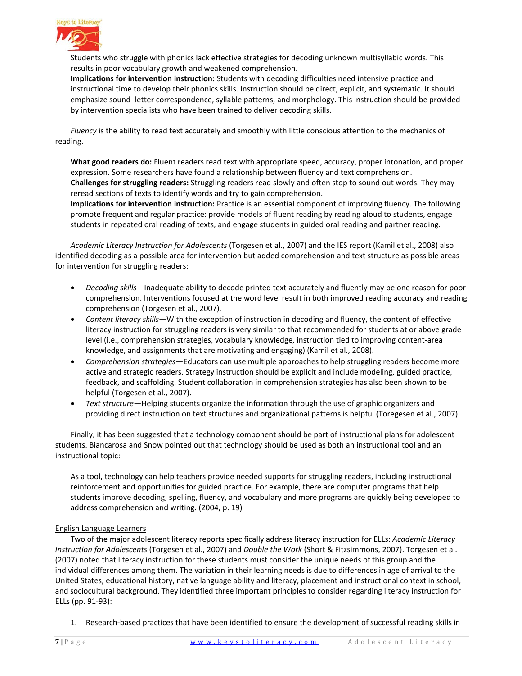

Students who struggle with phonics lack effective strategies for decoding unknown multisyllabic words. This results in poor vocabulary growth and weakened comprehension.

**Implications for intervention instruction:** Students with decoding difficulties need intensive practice and instructional time to develop their phonics skills. Instruction should be direct, explicit, and systematic. It should emphasize sound–letter correspondence, syllable patterns, and morphology. This instruction should be provided by intervention specialists who have been trained to deliver decoding skills.

*Fluency* is the ability to read text accurately and smoothly with little conscious attention to the mechanics of reading.

**What good readers do:** Fluent readers read text with appropriate speed, accuracy, proper intonation, and proper expression. Some researchers have found a relationship between fluency and text comprehension. **Challenges for struggling readers:** Struggling readers read slowly and often stop to sound out words. They may reread sections of texts to identify words and try to gain comprehension.

**Implications for intervention instruction:** Practice is an essential component of improving fluency. The following promote frequent and regular practice: provide models of fluent reading by reading aloud to students, engage students in repeated oral reading of texts, and engage students in guided oral reading and partner reading.

*Academic Literacy Instruction for Adolescents* (Torgesen et al., 2007) and the IES report (Kamil et al., 2008) also identified decoding as a possible area for intervention but added comprehension and text structure as possible areas for intervention for struggling readers:

- *Decoding skills*—Inadequate ability to decode printed text accurately and fluently may be one reason for poor comprehension. Interventions focused at the word level result in both improved reading accuracy and reading comprehension (Torgesen et al., 2007).
- *Content literacy skills*—With the exception of instruction in decoding and fluency, the content of effective literacy instruction for struggling readers is very similar to that recommended for students at or above grade level (i.e., comprehension strategies, vocabulary knowledge, instruction tied to improving content-area knowledge, and assignments that are motivating and engaging) (Kamil et al., 2008).
- *Comprehension strategies*—Educators can use multiple approaches to help struggling readers become more active and strategic readers. Strategy instruction should be explicit and include modeling, guided practice, feedback, and scaffolding. Student collaboration in comprehension strategies has also been shown to be helpful (Torgesen et al., 2007).
- *Text structure*—Helping students organize the information through the use of graphic organizers and providing direct instruction on text structures and organizational patterns is helpful (Toregesen et al., 2007).

Finally, it has been suggested that a technology component should be part of instructional plans for adolescent students. Biancarosa and Snow pointed out that technology should be used as both an instructional tool and an instructional topic:

As a tool, technology can help teachers provide needed supports for struggling readers, including instructional reinforcement and opportunities for guided practice. For example, there are computer programs that help students improve decoding, spelling, fluency, and vocabulary and more programs are quickly being developed to address comprehension and writing. (2004, p. 19)

#### English Language Learners

Two of the major adolescent literacy reports specifically address literacy instruction for ELLs: *Academic Literacy Instruction for Adolescents* (Torgesen et al., 2007) and *Double the Work* (Short & Fitzsimmons, 2007). Torgesen et al. (2007) noted that literacy instruction for these students must consider the unique needs of this group and the individual differences among them. The variation in their learning needs is due to differences in age of arrival to the United States, educational history, native language ability and literacy, placement and instructional context in school, and sociocultural background. They identified three important principles to consider regarding literacy instruction for ELLs (pp. 91-93):

1. Research-based practices that have been identified to ensure the development of successful reading skills in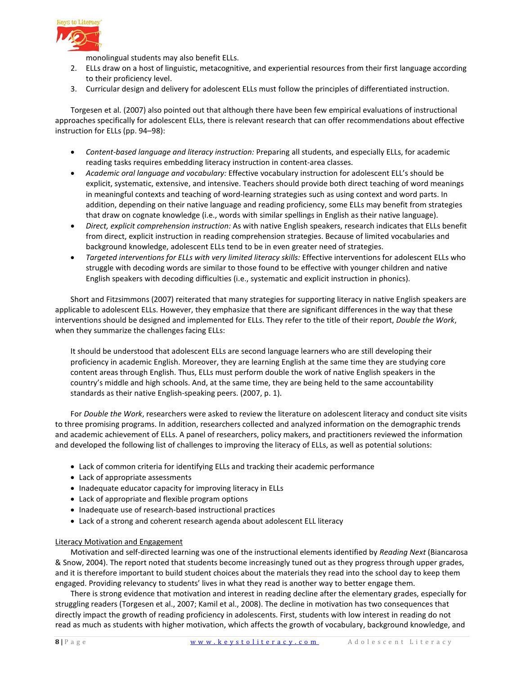

monolingual students may also benefit ELLs.

- 2. ELLs draw on a host of linguistic, metacognitive, and experiential resources from their first language according to their proficiency level.
- 3. Curricular design and delivery for adolescent ELLs must follow the principles of differentiated instruction.

Torgesen et al. (2007) also pointed out that although there have been few empirical evaluations of instructional approaches specifically for adolescent ELLs, there is relevant research that can offer recommendations about effective instruction for ELLs (pp. 94–98):

- *Content-based language and literacy instruction:* Preparing all students, and especially ELLs, for academic reading tasks requires embedding literacy instruction in content-area classes.
- *Academic oral language and vocabulary:* Effective vocabulary instruction for adolescent ELL's should be explicit, systematic, extensive, and intensive. Teachers should provide both direct teaching of word meanings in meaningful contexts and teaching of word-learning strategies such as using context and word parts. In addition, depending on their native language and reading proficiency, some ELLs may benefit from strategies that draw on cognate knowledge (i.e., words with similar spellings in English as their native language).
- *Direct, explicit comprehension instruction:* As with native English speakers, research indicates that ELLs benefit from direct, explicit instruction in reading comprehension strategies. Because of limited vocabularies and background knowledge, adolescent ELLs tend to be in even greater need of strategies.
- *Targeted interventions for ELLs with very limited literacy skills:* Effective interventions for adolescent ELLs who struggle with decoding words are similar to those found to be effective with younger children and native English speakers with decoding difficulties (i.e., systematic and explicit instruction in phonics).

Short and Fitzsimmons (2007) reiterated that many strategies for supporting literacy in native English speakers are applicable to adolescent ELLs. However, they emphasize that there are significant differences in the way that these interventions should be designed and implemented for ELLs. They refer to the title of their report, *Double the Work*, when they summarize the challenges facing ELLs:

It should be understood that adolescent ELLs are second language learners who are still developing their proficiency in academic English. Moreover, they are learning English at the same time they are studying core content areas through English. Thus, ELLs must perform double the work of native English speakers in the country's middle and high schools. And, at the same time, they are being held to the same accountability standards as their native English-speaking peers. (2007, p. 1).

For *Double the Work*, researchers were asked to review the literature on adolescent literacy and conduct site visits to three promising programs. In addition, researchers collected and analyzed information on the demographic trends and academic achievement of ELLs. A panel of researchers, policy makers, and practitioners reviewed the information and developed the following list of challenges to improving the literacy of ELLs, as well as potential solutions:

- Lack of common criteria for identifying ELLs and tracking their academic performance
- Lack of appropriate assessments
- Inadequate educator capacity for improving literacy in ELLs
- Lack of appropriate and flexible program options
- Inadequate use of research-based instructional practices
- Lack of a strong and coherent research agenda about adolescent ELL literacy

#### Literacy Motivation and Engagement

Motivation and self-directed learning was one of the instructional elements identified by *Reading Next* (Biancarosa & Snow, 2004). The report noted that students become increasingly tuned out as they progress through upper grades, and it is therefore important to build student choices about the materials they read into the school day to keep them engaged. Providing relevancy to students' lives in what they read is another way to better engage them.

There is strong evidence that motivation and interest in reading decline after the elementary grades, especially for struggling readers (Torgesen et al., 2007; Kamil et al., 2008). The decline in motivation has two consequences that directly impact the growth of reading proficiency in adolescents. First, students with low interest in reading do not read as much as students with higher motivation, which affects the growth of vocabulary, background knowledge, and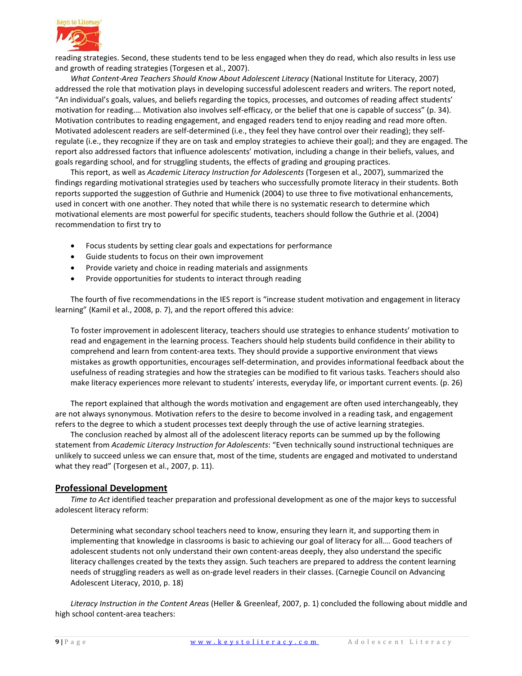

reading strategies. Second, these students tend to be less engaged when they do read, which also results in less use and growth of reading strategies (Torgesen et al., 2007).

*What Content-Area Teachers Should Know About Adolescent Literacy* (National Institute for Literacy, 2007) addressed the role that motivation plays in developing successful adolescent readers and writers. The report noted, "An individual's goals, values, and beliefs regarding the topics, processes, and outcomes of reading affect students' motivation for reading.… Motivation also involves self-efficacy, or the belief that one is capable of success" (p. 34). Motivation contributes to reading engagement, and engaged readers tend to enjoy reading and read more often. Motivated adolescent readers are self-determined (i.e., they feel they have control over their reading); they selfregulate (i.e., they recognize if they are on task and employ strategies to achieve their goal); and they are engaged. The report also addressed factors that influence adolescents' motivation, including a change in their beliefs, values, and goals regarding school, and for struggling students, the effects of grading and grouping practices.

This report, as well as *Academic Literacy Instruction for Adolescents* (Torgesen et al., 2007), summarized the findings regarding motivational strategies used by teachers who successfully promote literacy in their students. Both reports supported the suggestion of Guthrie and Humenick (2004) to use three to five motivational enhancements, used in concert with one another. They noted that while there is no systematic research to determine which motivational elements are most powerful for specific students, teachers should follow the Guthrie et al. (2004) recommendation to first try to

- Focus students by setting clear goals and expectations for performance
- Guide students to focus on their own improvement
- Provide variety and choice in reading materials and assignments
- Provide opportunities for students to interact through reading

The fourth of five recommendations in the IES report is "increase student motivation and engagement in literacy learning" (Kamil et al., 2008, p. 7), and the report offered this advice:

To foster improvement in adolescent literacy, teachers should use strategies to enhance students' motivation to read and engagement in the learning process. Teachers should help students build confidence in their ability to comprehend and learn from content-area texts. They should provide a supportive environment that views mistakes as growth opportunities, encourages self-determination, and provides informational feedback about the usefulness of reading strategies and how the strategies can be modified to fit various tasks. Teachers should also make literacy experiences more relevant to students' interests, everyday life, or important current events. (p. 26)

The report explained that although the words motivation and engagement are often used interchangeably, they are not always synonymous. Motivation refers to the desire to become involved in a reading task, and engagement refers to the degree to which a student processes text deeply through the use of active learning strategies.

The conclusion reached by almost all of the adolescent literacy reports can be summed up by the following statement from *Academic Literacy Instruction for Adolescents*: "Even technically sound instructional techniques are unlikely to succeed unless we can ensure that, most of the time, students are engaged and motivated to understand what they read" (Torgesen et al., 2007, p. 11).

### **Professional Development**

*Time to Act* identified teacher preparation and professional development as one of the major keys to successful adolescent literacy reform:

Determining what secondary school teachers need to know, ensuring they learn it, and supporting them in implementing that knowledge in classrooms is basic to achieving our goal of literacy for all.… Good teachers of adolescent students not only understand their own content-areas deeply, they also understand the specific literacy challenges created by the texts they assign. Such teachers are prepared to address the content learning needs of struggling readers as well as on-grade level readers in their classes. (Carnegie Council on Advancing Adolescent Literacy, 2010, p. 18)

*Literacy Instruction in the Content Areas* (Heller & Greenleaf, 2007, p. 1) concluded the following about middle and high school content-area teachers: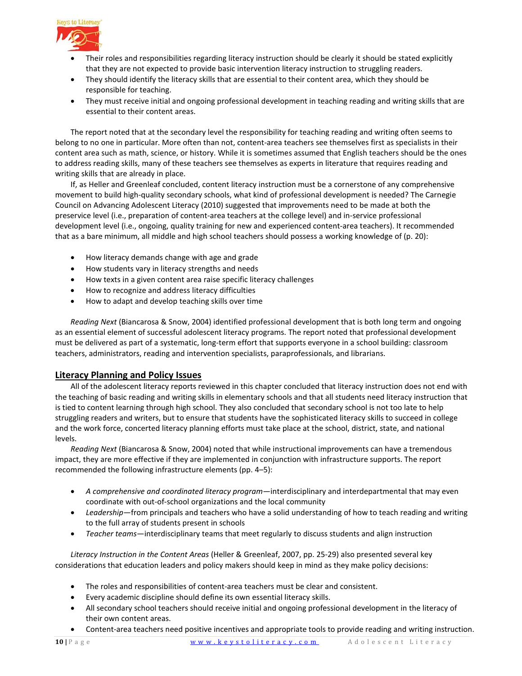

- Their roles and responsibilities regarding literacy instruction should be clearly it should be stated explicitly that they are not expected to provide basic intervention literacy instruction to struggling readers.
- They should identify the literacy skills that are essential to their content area, which they should be responsible for teaching.
- They must receive initial and ongoing professional development in teaching reading and writing skills that are essential to their content areas.

The report noted that at the secondary level the responsibility for teaching reading and writing often seems to belong to no one in particular. More often than not, content-area teachers see themselves first as specialists in their content area such as math, science, or history. While it is sometimes assumed that English teachers should be the ones to address reading skills, many of these teachers see themselves as experts in literature that requires reading and writing skills that are already in place.

If, as Heller and Greenleaf concluded, content literacy instruction must be a cornerstone of any comprehensive movement to build high-quality secondary schools, what kind of professional development is needed? The Carnegie Council on Advancing Adolescent Literacy (2010) suggested that improvements need to be made at both the preservice level (i.e., preparation of content-area teachers at the college level) and in-service professional development level (i.e., ongoing, quality training for new and experienced content-area teachers). It recommended that as a bare minimum, all middle and high school teachers should possess a working knowledge of (p. 20):

- How literacy demands change with age and grade
- How students vary in literacy strengths and needs
- How texts in a given content area raise specific literacy challenges
- How to recognize and address literacy difficulties
- How to adapt and develop teaching skills over time

*Reading Next* (Biancarosa & Snow, 2004) identified professional development that is both long term and ongoing as an essential element of successful adolescent literacy programs. The report noted that professional development must be delivered as part of a systematic, long-term effort that supports everyone in a school building: classroom teachers, administrators, reading and intervention specialists, paraprofessionals, and librarians.

### **Literacy Planning and Policy Issues**

All of the adolescent literacy reports reviewed in this chapter concluded that literacy instruction does not end with the teaching of basic reading and writing skills in elementary schools and that all students need literacy instruction that is tied to content learning through high school. They also concluded that secondary school is not too late to help struggling readers and writers, but to ensure that students have the sophisticated literacy skills to succeed in college and the work force, concerted literacy planning efforts must take place at the school, district, state, and national levels.

*Reading Next* (Biancarosa & Snow, 2004) noted that while instructional improvements can have a tremendous impact, they are more effective if they are implemented in conjunction with infrastructure supports. The report recommended the following infrastructure elements (pp. 4–5):

- *A comprehensive and coordinated literacy program*—interdisciplinary and interdepartmental that may even coordinate with out-of-school organizations and the local community
- *Leadership*—from principals and teachers who have a solid understanding of how to teach reading and writing to the full array of students present in schools
- *Teacher teams*—interdisciplinary teams that meet regularly to discuss students and align instruction

*Literacy Instruction in the Content Areas* (Heller & Greenleaf, 2007, pp. 25-29) also presented several key considerations that education leaders and policy makers should keep in mind as they make policy decisions:

- The roles and responsibilities of content-area teachers must be clear and consistent.
- Every academic discipline should define its own essential literacy skills.
- All secondary school teachers should receive initial and ongoing professional development in the literacy of their own content areas.
- Content-area teachers need positive incentives and appropriate tools to provide reading and writing instruction.